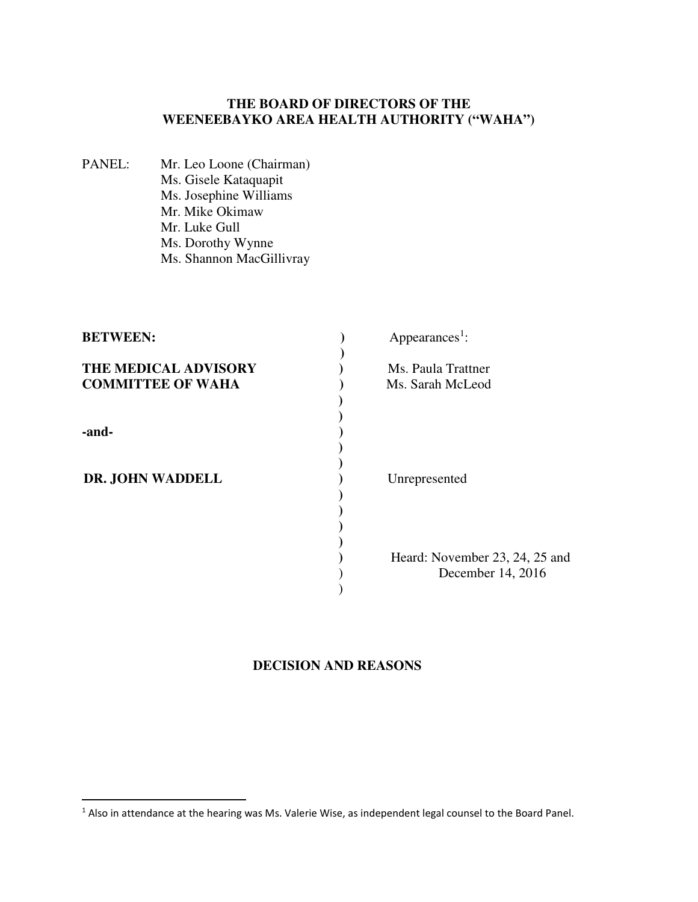## **THE BOARD OF DIRECTORS OF THE WEENEEBAYKO AREA HEALTH AUTHORITY ("WAHA")**

PANEL: Mr. Leo Loone (Chairman) Ms. Gisele Kataquapit Ms. Josephine Williams Mr. Mike Okimaw Mr. Luke Gull Ms. Dorothy Wynne Ms. Shannon MacGillivray

-

| <b>BETWEEN:</b>           | Appearances <sup>1</sup> :     |
|---------------------------|--------------------------------|
| THE MEDICAL ADVISORY      | Ms. Paula Trattner             |
| <b>COMMITTEE OF WAHA</b>  | Ms. Sarah McLeod               |
|                           |                                |
| -and-<br>DR. JOHN WADDELL |                                |
|                           |                                |
|                           |                                |
|                           | Unrepresented                  |
|                           |                                |
|                           |                                |
|                           | Heard: November 23, 24, 25 and |
|                           | December 14, 2016              |
|                           |                                |

# **DECISION AND REASONS**

 $<sup>1</sup>$  Also in attendance at the hearing was Ms. Valerie Wise, as independent legal counsel to the Board Panel.</sup>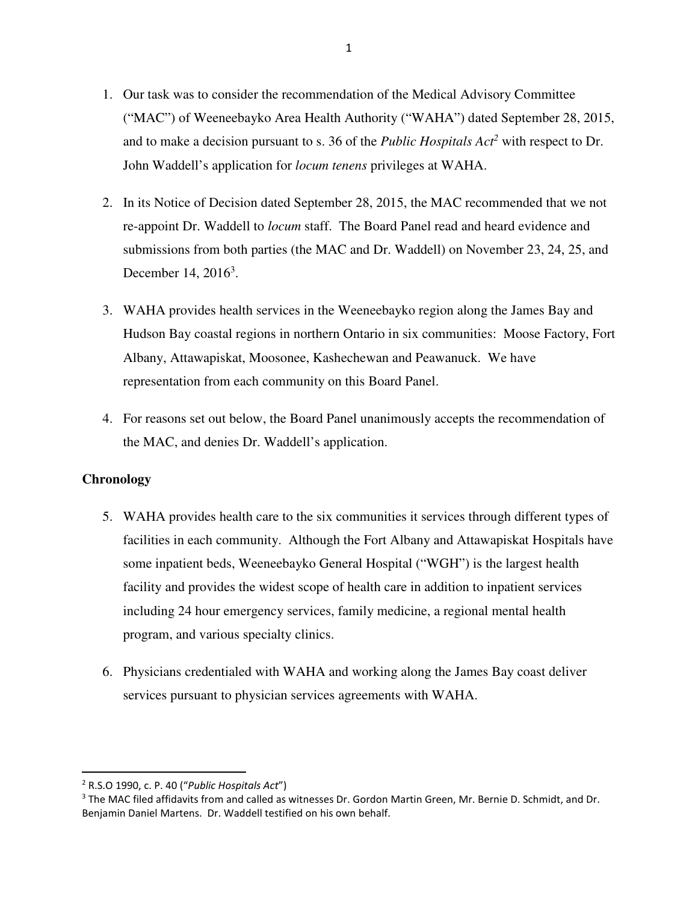- 1. Our task was to consider the recommendation of the Medical Advisory Committee ("MAC") of Weeneebayko Area Health Authority ("WAHA") dated September 28, 2015, and to make a decision pursuant to s. 36 of the *Public Hospitals Act<sup>2</sup>* with respect to Dr. John Waddell's application for *locum tenens* privileges at WAHA.
- 2. In its Notice of Decision dated September 28, 2015, the MAC recommended that we not re-appoint Dr. Waddell to *locum* staff. The Board Panel read and heard evidence and submissions from both parties (the MAC and Dr. Waddell) on November 23, 24, 25, and December 14, 2016<sup>3</sup>.
- 3. WAHA provides health services in the Weeneebayko region along the James Bay and Hudson Bay coastal regions in northern Ontario in six communities: Moose Factory, Fort Albany, Attawapiskat, Moosonee, Kashechewan and Peawanuck. We have representation from each community on this Board Panel.
- 4. For reasons set out below, the Board Panel unanimously accepts the recommendation of the MAC, and denies Dr. Waddell's application.

## **Chronology**

-

- 5. WAHA provides health care to the six communities it services through different types of facilities in each community. Although the Fort Albany and Attawapiskat Hospitals have some inpatient beds, Weeneebayko General Hospital ("WGH") is the largest health facility and provides the widest scope of health care in addition to inpatient services including 24 hour emergency services, family medicine, a regional mental health program, and various specialty clinics.
- 6. Physicians credentialed with WAHA and working along the James Bay coast deliver services pursuant to physician services agreements with WAHA.

<sup>2</sup> R.S.O 1990, c. P. 40 ("*Public Hospitals Act*")

<sup>&</sup>lt;sup>3</sup> The MAC filed affidavits from and called as witnesses Dr. Gordon Martin Green, Mr. Bernie D. Schmidt, and Dr. Benjamin Daniel Martens. Dr. Waddell testified on his own behalf.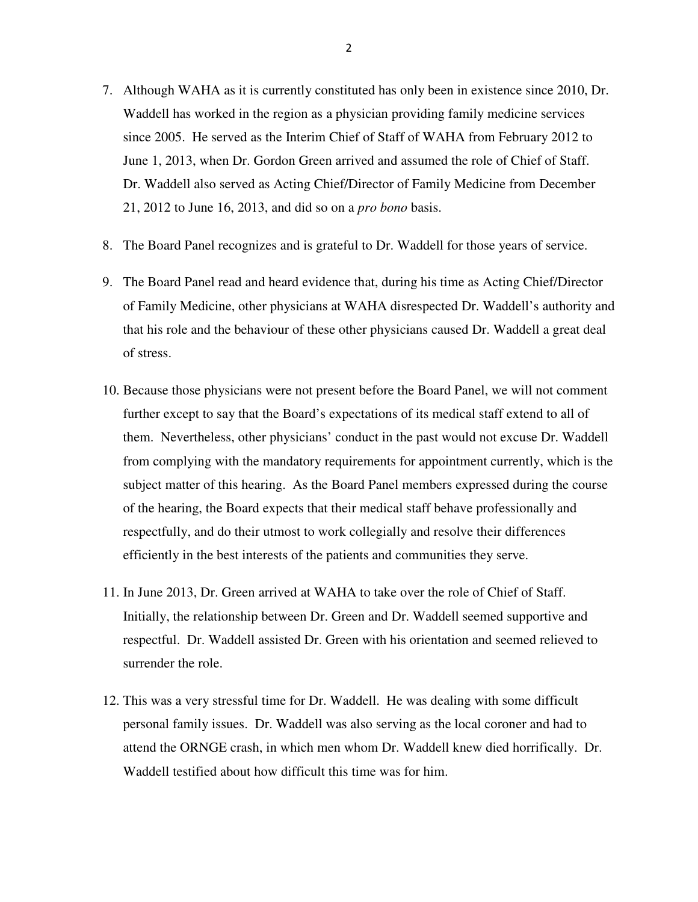- 7. Although WAHA as it is currently constituted has only been in existence since 2010, Dr. Waddell has worked in the region as a physician providing family medicine services since 2005. He served as the Interim Chief of Staff of WAHA from February 2012 to June 1, 2013, when Dr. Gordon Green arrived and assumed the role of Chief of Staff. Dr. Waddell also served as Acting Chief/Director of Family Medicine from December 21, 2012 to June 16, 2013, and did so on a *pro bono* basis.
- 8. The Board Panel recognizes and is grateful to Dr. Waddell for those years of service.
- 9. The Board Panel read and heard evidence that, during his time as Acting Chief/Director of Family Medicine, other physicians at WAHA disrespected Dr. Waddell's authority and that his role and the behaviour of these other physicians caused Dr. Waddell a great deal of stress.
- 10. Because those physicians were not present before the Board Panel, we will not comment further except to say that the Board's expectations of its medical staff extend to all of them. Nevertheless, other physicians' conduct in the past would not excuse Dr. Waddell from complying with the mandatory requirements for appointment currently, which is the subject matter of this hearing. As the Board Panel members expressed during the course of the hearing, the Board expects that their medical staff behave professionally and respectfully, and do their utmost to work collegially and resolve their differences efficiently in the best interests of the patients and communities they serve.
- 11. In June 2013, Dr. Green arrived at WAHA to take over the role of Chief of Staff. Initially, the relationship between Dr. Green and Dr. Waddell seemed supportive and respectful. Dr. Waddell assisted Dr. Green with his orientation and seemed relieved to surrender the role.
- 12. This was a very stressful time for Dr. Waddell. He was dealing with some difficult personal family issues. Dr. Waddell was also serving as the local coroner and had to attend the ORNGE crash, in which men whom Dr. Waddell knew died horrifically. Dr. Waddell testified about how difficult this time was for him.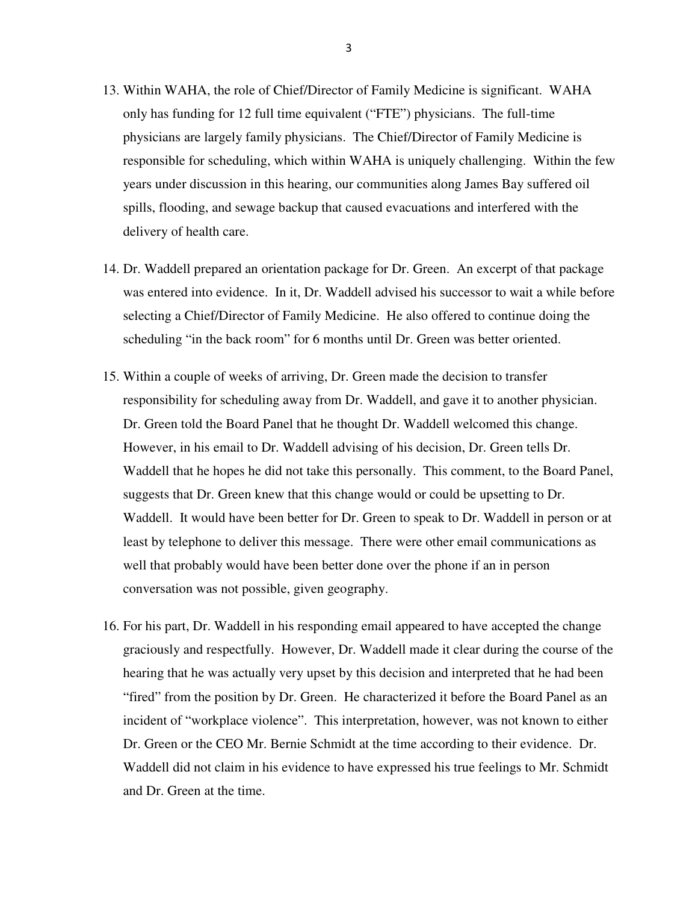- 13. Within WAHA, the role of Chief/Director of Family Medicine is significant. WAHA only has funding for 12 full time equivalent ("FTE") physicians. The full-time physicians are largely family physicians. The Chief/Director of Family Medicine is responsible for scheduling, which within WAHA is uniquely challenging. Within the few years under discussion in this hearing, our communities along James Bay suffered oil spills, flooding, and sewage backup that caused evacuations and interfered with the delivery of health care.
- 14. Dr. Waddell prepared an orientation package for Dr. Green. An excerpt of that package was entered into evidence. In it, Dr. Waddell advised his successor to wait a while before selecting a Chief/Director of Family Medicine. He also offered to continue doing the scheduling "in the back room" for 6 months until Dr. Green was better oriented.
- 15. Within a couple of weeks of arriving, Dr. Green made the decision to transfer responsibility for scheduling away from Dr. Waddell, and gave it to another physician. Dr. Green told the Board Panel that he thought Dr. Waddell welcomed this change. However, in his email to Dr. Waddell advising of his decision, Dr. Green tells Dr. Waddell that he hopes he did not take this personally. This comment, to the Board Panel, suggests that Dr. Green knew that this change would or could be upsetting to Dr. Waddell. It would have been better for Dr. Green to speak to Dr. Waddell in person or at least by telephone to deliver this message. There were other email communications as well that probably would have been better done over the phone if an in person conversation was not possible, given geography.
- 16. For his part, Dr. Waddell in his responding email appeared to have accepted the change graciously and respectfully. However, Dr. Waddell made it clear during the course of the hearing that he was actually very upset by this decision and interpreted that he had been "fired" from the position by Dr. Green. He characterized it before the Board Panel as an incident of "workplace violence". This interpretation, however, was not known to either Dr. Green or the CEO Mr. Bernie Schmidt at the time according to their evidence. Dr. Waddell did not claim in his evidence to have expressed his true feelings to Mr. Schmidt and Dr. Green at the time.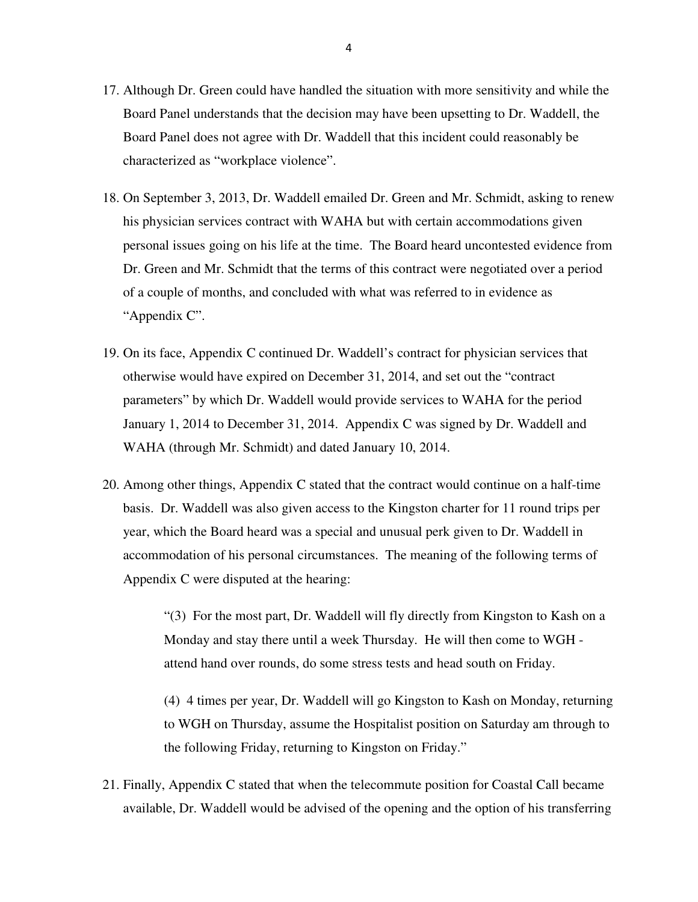- 17. Although Dr. Green could have handled the situation with more sensitivity and while the Board Panel understands that the decision may have been upsetting to Dr. Waddell, the Board Panel does not agree with Dr. Waddell that this incident could reasonably be characterized as "workplace violence".
- 18. On September 3, 2013, Dr. Waddell emailed Dr. Green and Mr. Schmidt, asking to renew his physician services contract with WAHA but with certain accommodations given personal issues going on his life at the time. The Board heard uncontested evidence from Dr. Green and Mr. Schmidt that the terms of this contract were negotiated over a period of a couple of months, and concluded with what was referred to in evidence as "Appendix C".
- 19. On its face, Appendix C continued Dr. Waddell's contract for physician services that otherwise would have expired on December 31, 2014, and set out the "contract parameters" by which Dr. Waddell would provide services to WAHA for the period January 1, 2014 to December 31, 2014. Appendix C was signed by Dr. Waddell and WAHA (through Mr. Schmidt) and dated January 10, 2014.
- 20. Among other things, Appendix C stated that the contract would continue on a half-time basis. Dr. Waddell was also given access to the Kingston charter for 11 round trips per year, which the Board heard was a special and unusual perk given to Dr. Waddell in accommodation of his personal circumstances. The meaning of the following terms of Appendix C were disputed at the hearing:

"(3) For the most part, Dr. Waddell will fly directly from Kingston to Kash on a Monday and stay there until a week Thursday. He will then come to WGH attend hand over rounds, do some stress tests and head south on Friday.

(4) 4 times per year, Dr. Waddell will go Kingston to Kash on Monday, returning to WGH on Thursday, assume the Hospitalist position on Saturday am through to the following Friday, returning to Kingston on Friday."

21. Finally, Appendix C stated that when the telecommute position for Coastal Call became available, Dr. Waddell would be advised of the opening and the option of his transferring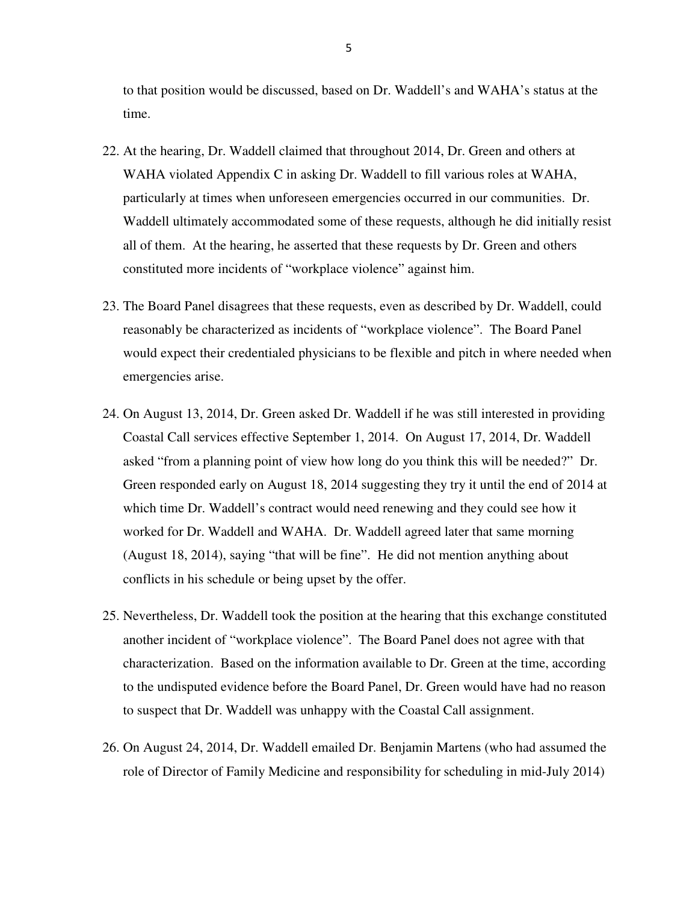to that position would be discussed, based on Dr. Waddell's and WAHA's status at the time.

- 22. At the hearing, Dr. Waddell claimed that throughout 2014, Dr. Green and others at WAHA violated Appendix C in asking Dr. Waddell to fill various roles at WAHA, particularly at times when unforeseen emergencies occurred in our communities. Dr. Waddell ultimately accommodated some of these requests, although he did initially resist all of them. At the hearing, he asserted that these requests by Dr. Green and others constituted more incidents of "workplace violence" against him.
- 23. The Board Panel disagrees that these requests, even as described by Dr. Waddell, could reasonably be characterized as incidents of "workplace violence". The Board Panel would expect their credentialed physicians to be flexible and pitch in where needed when emergencies arise.
- 24. On August 13, 2014, Dr. Green asked Dr. Waddell if he was still interested in providing Coastal Call services effective September 1, 2014. On August 17, 2014, Dr. Waddell asked "from a planning point of view how long do you think this will be needed?" Dr. Green responded early on August 18, 2014 suggesting they try it until the end of 2014 at which time Dr. Waddell's contract would need renewing and they could see how it worked for Dr. Waddell and WAHA. Dr. Waddell agreed later that same morning (August 18, 2014), saying "that will be fine". He did not mention anything about conflicts in his schedule or being upset by the offer.
- 25. Nevertheless, Dr. Waddell took the position at the hearing that this exchange constituted another incident of "workplace violence". The Board Panel does not agree with that characterization. Based on the information available to Dr. Green at the time, according to the undisputed evidence before the Board Panel, Dr. Green would have had no reason to suspect that Dr. Waddell was unhappy with the Coastal Call assignment.
- 26. On August 24, 2014, Dr. Waddell emailed Dr. Benjamin Martens (who had assumed the role of Director of Family Medicine and responsibility for scheduling in mid-July 2014)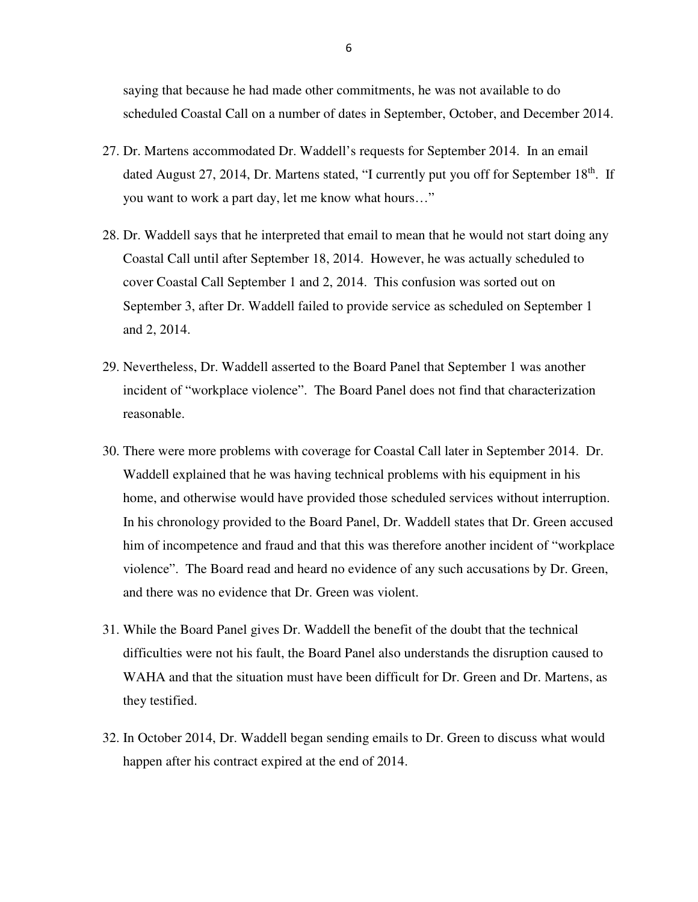saying that because he had made other commitments, he was not available to do scheduled Coastal Call on a number of dates in September, October, and December 2014.

- 27. Dr. Martens accommodated Dr. Waddell's requests for September 2014. In an email dated August 27, 2014, Dr. Martens stated, "I currently put you off for September 18<sup>th</sup>. If you want to work a part day, let me know what hours…"
- 28. Dr. Waddell says that he interpreted that email to mean that he would not start doing any Coastal Call until after September 18, 2014. However, he was actually scheduled to cover Coastal Call September 1 and 2, 2014. This confusion was sorted out on September 3, after Dr. Waddell failed to provide service as scheduled on September 1 and 2, 2014.
- 29. Nevertheless, Dr. Waddell asserted to the Board Panel that September 1 was another incident of "workplace violence". The Board Panel does not find that characterization reasonable.
- 30. There were more problems with coverage for Coastal Call later in September 2014. Dr. Waddell explained that he was having technical problems with his equipment in his home, and otherwise would have provided those scheduled services without interruption. In his chronology provided to the Board Panel, Dr. Waddell states that Dr. Green accused him of incompetence and fraud and that this was therefore another incident of "workplace violence". The Board read and heard no evidence of any such accusations by Dr. Green, and there was no evidence that Dr. Green was violent.
- 31. While the Board Panel gives Dr. Waddell the benefit of the doubt that the technical difficulties were not his fault, the Board Panel also understands the disruption caused to WAHA and that the situation must have been difficult for Dr. Green and Dr. Martens, as they testified.
- 32. In October 2014, Dr. Waddell began sending emails to Dr. Green to discuss what would happen after his contract expired at the end of 2014.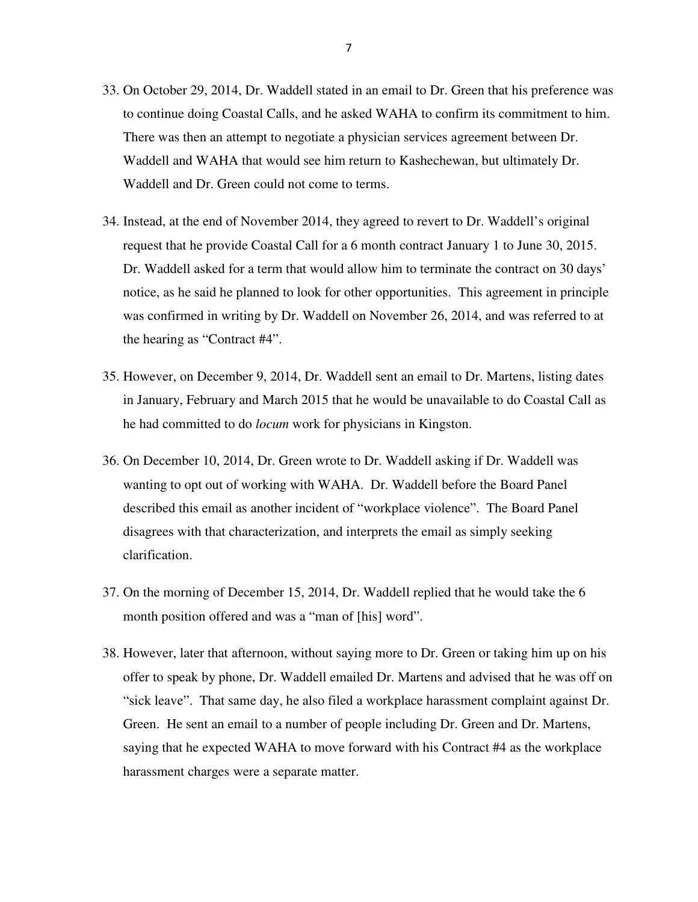- 33. On October 29, 2014, Dr. Waddell stated in an email to Dr. Green that his preference was to continue doing Coastal Calls, and he asked WAHA to confirm its commitment to him. There was then an attempt to negotiate a physician services agreement between Dr. Waddell and WAHA that would see him return to Kashechewan, but ultimately Dr. Waddell and Dr. Green could not come to terms.
- 34. Instead, at the end of November 2014, they agreed to revert to Dr. Waddell's original request that he provide Coastal Call for a 6 month contract January 1 to June 30, 2015. Dr. Waddell asked for a term that would allow him to terminate the contract on 30 days' notice, as he said he planned to look for other opportunities. This agreement in principle was confirmed in writing by Dr. Waddell on November 26, 2014, and was referred to at the hearing as "Contract #4".
- 35. However, on December 9, 2014, Dr. Waddell sent an email to Dr. Martens, listing dates in January, February and March 2015 that he would be unavailable to do Coastal Call as he had committed to do *locum* work for physicians in Kingston.
- 36. On December 10, 2014, Dr. Green wrote to Dr. Waddell asking if Dr. Waddell was wanting to opt out of working with WAHA. Dr. Waddell before the Board Panel described this email as another incident of "workplace violence". The Board Panel disagrees with that characterization, and interprets the email as simply seeking clarification.
- 37. On the morning of December 15, 2014, Dr. Waddell replied that he would take the 6 month position offered and was a "man of [his] word".
- 38. However, later that afternoon, without saying more to Dr. Green or taking him up on his offer to speak by phone, Dr. Waddell emailed Dr. Martens and advised that he was off on "sick leave". That same day, he also filed a workplace harassment complaint against Dr. Green. He sent an email to a number of people including Dr. Green and Dr. Martens, saying that he expected WAHA to move forward with his Contract #4 as the workplace harassment charges were a separate matter.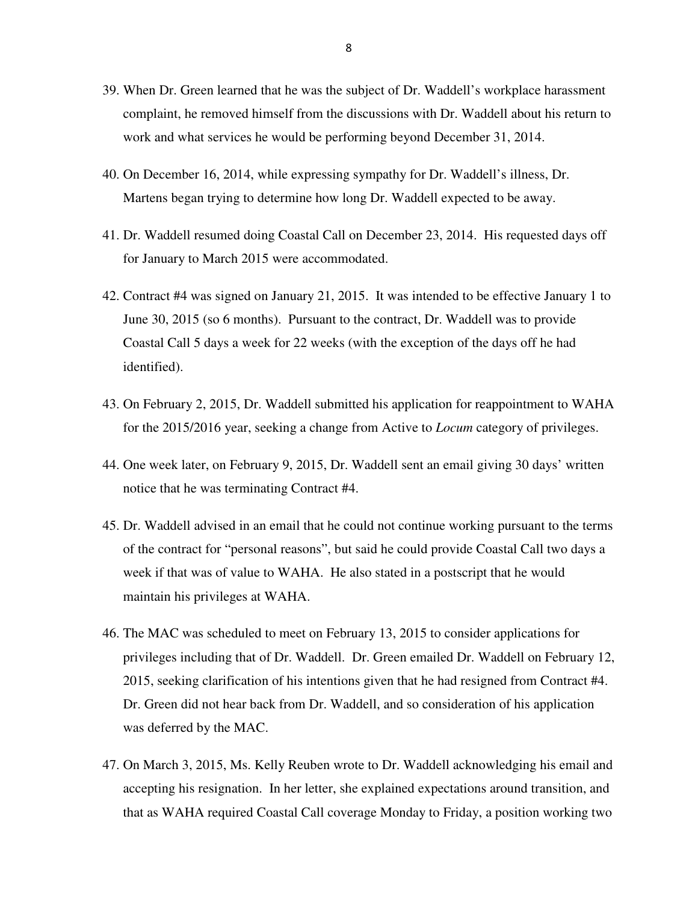- 39. When Dr. Green learned that he was the subject of Dr. Waddell's workplace harassment complaint, he removed himself from the discussions with Dr. Waddell about his return to work and what services he would be performing beyond December 31, 2014.
- 40. On December 16, 2014, while expressing sympathy for Dr. Waddell's illness, Dr. Martens began trying to determine how long Dr. Waddell expected to be away.
- 41. Dr. Waddell resumed doing Coastal Call on December 23, 2014. His requested days off for January to March 2015 were accommodated.
- 42. Contract #4 was signed on January 21, 2015. It was intended to be effective January 1 to June 30, 2015 (so 6 months). Pursuant to the contract, Dr. Waddell was to provide Coastal Call 5 days a week for 22 weeks (with the exception of the days off he had identified).
- 43. On February 2, 2015, Dr. Waddell submitted his application for reappointment to WAHA for the 2015/2016 year, seeking a change from Active to *Locum* category of privileges.
- 44. One week later, on February 9, 2015, Dr. Waddell sent an email giving 30 days' written notice that he was terminating Contract #4.
- 45. Dr. Waddell advised in an email that he could not continue working pursuant to the terms of the contract for "personal reasons", but said he could provide Coastal Call two days a week if that was of value to WAHA. He also stated in a postscript that he would maintain his privileges at WAHA.
- 46. The MAC was scheduled to meet on February 13, 2015 to consider applications for privileges including that of Dr. Waddell. Dr. Green emailed Dr. Waddell on February 12, 2015, seeking clarification of his intentions given that he had resigned from Contract #4. Dr. Green did not hear back from Dr. Waddell, and so consideration of his application was deferred by the MAC.
- 47. On March 3, 2015, Ms. Kelly Reuben wrote to Dr. Waddell acknowledging his email and accepting his resignation. In her letter, she explained expectations around transition, and that as WAHA required Coastal Call coverage Monday to Friday, a position working two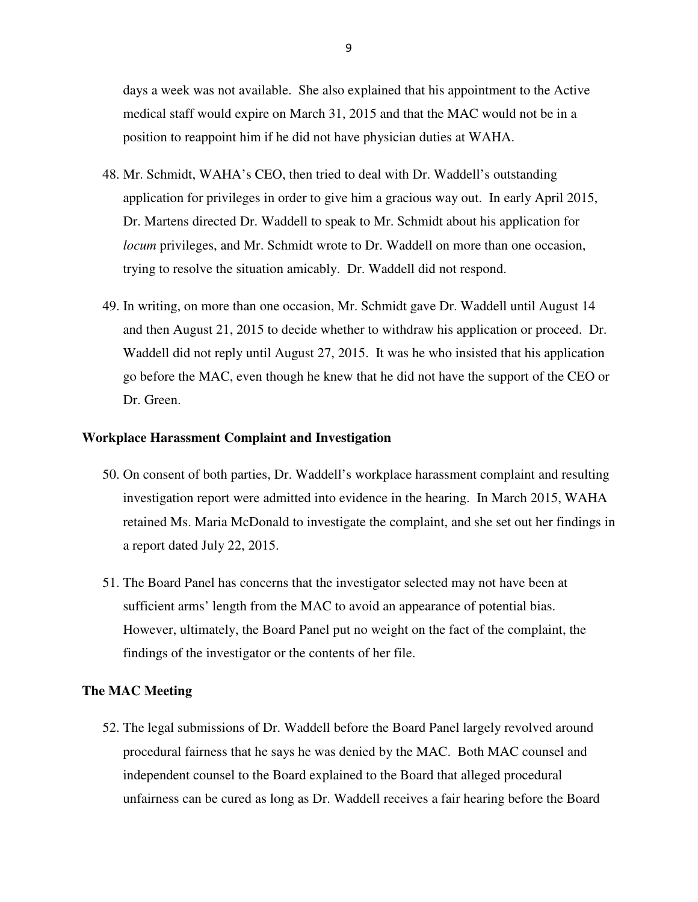days a week was not available. She also explained that his appointment to the Active medical staff would expire on March 31, 2015 and that the MAC would not be in a position to reappoint him if he did not have physician duties at WAHA.

- 48. Mr. Schmidt, WAHA's CEO, then tried to deal with Dr. Waddell's outstanding application for privileges in order to give him a gracious way out. In early April 2015, Dr. Martens directed Dr. Waddell to speak to Mr. Schmidt about his application for *locum* privileges, and Mr. Schmidt wrote to Dr. Waddell on more than one occasion, trying to resolve the situation amicably. Dr. Waddell did not respond.
- 49. In writing, on more than one occasion, Mr. Schmidt gave Dr. Waddell until August 14 and then August 21, 2015 to decide whether to withdraw his application or proceed. Dr. Waddell did not reply until August 27, 2015. It was he who insisted that his application go before the MAC, even though he knew that he did not have the support of the CEO or Dr. Green.

### **Workplace Harassment Complaint and Investigation**

- 50. On consent of both parties, Dr. Waddell's workplace harassment complaint and resulting investigation report were admitted into evidence in the hearing. In March 2015, WAHA retained Ms. Maria McDonald to investigate the complaint, and she set out her findings in a report dated July 22, 2015.
- 51. The Board Panel has concerns that the investigator selected may not have been at sufficient arms' length from the MAC to avoid an appearance of potential bias. However, ultimately, the Board Panel put no weight on the fact of the complaint, the findings of the investigator or the contents of her file.

#### **The MAC Meeting**

52. The legal submissions of Dr. Waddell before the Board Panel largely revolved around procedural fairness that he says he was denied by the MAC. Both MAC counsel and independent counsel to the Board explained to the Board that alleged procedural unfairness can be cured as long as Dr. Waddell receives a fair hearing before the Board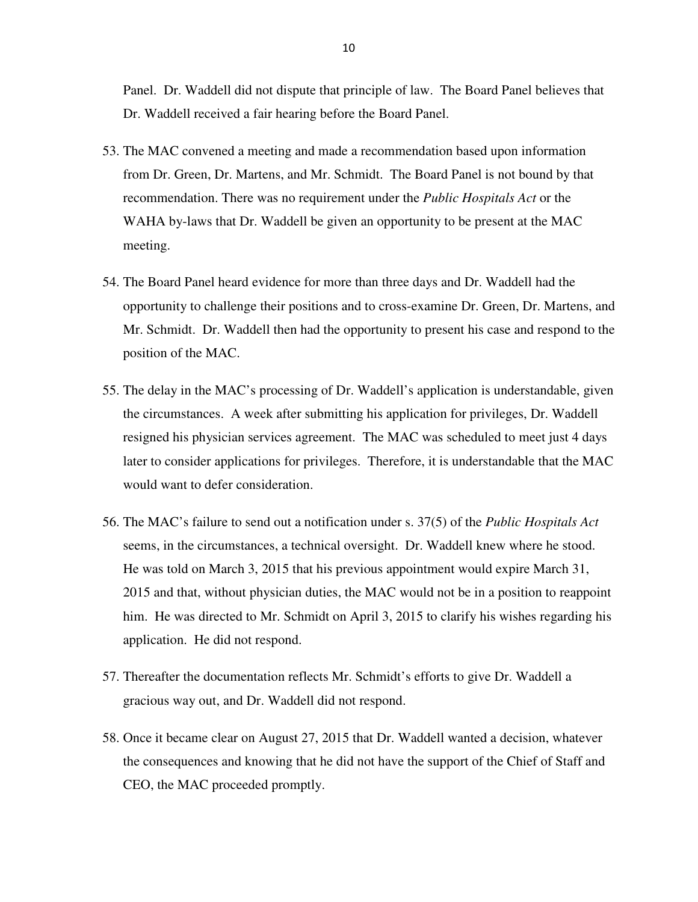Panel. Dr. Waddell did not dispute that principle of law. The Board Panel believes that Dr. Waddell received a fair hearing before the Board Panel.

- 53. The MAC convened a meeting and made a recommendation based upon information from Dr. Green, Dr. Martens, and Mr. Schmidt. The Board Panel is not bound by that recommendation. There was no requirement under the *Public Hospitals Act* or the WAHA by-laws that Dr. Waddell be given an opportunity to be present at the MAC meeting.
- 54. The Board Panel heard evidence for more than three days and Dr. Waddell had the opportunity to challenge their positions and to cross-examine Dr. Green, Dr. Martens, and Mr. Schmidt. Dr. Waddell then had the opportunity to present his case and respond to the position of the MAC.
- 55. The delay in the MAC's processing of Dr. Waddell's application is understandable, given the circumstances. A week after submitting his application for privileges, Dr. Waddell resigned his physician services agreement. The MAC was scheduled to meet just 4 days later to consider applications for privileges. Therefore, it is understandable that the MAC would want to defer consideration.
- 56. The MAC's failure to send out a notification under s. 37(5) of the *Public Hospitals Act* seems, in the circumstances, a technical oversight. Dr. Waddell knew where he stood. He was told on March 3, 2015 that his previous appointment would expire March 31, 2015 and that, without physician duties, the MAC would not be in a position to reappoint him. He was directed to Mr. Schmidt on April 3, 2015 to clarify his wishes regarding his application. He did not respond.
- 57. Thereafter the documentation reflects Mr. Schmidt's efforts to give Dr. Waddell a gracious way out, and Dr. Waddell did not respond.
- 58. Once it became clear on August 27, 2015 that Dr. Waddell wanted a decision, whatever the consequences and knowing that he did not have the support of the Chief of Staff and CEO, the MAC proceeded promptly.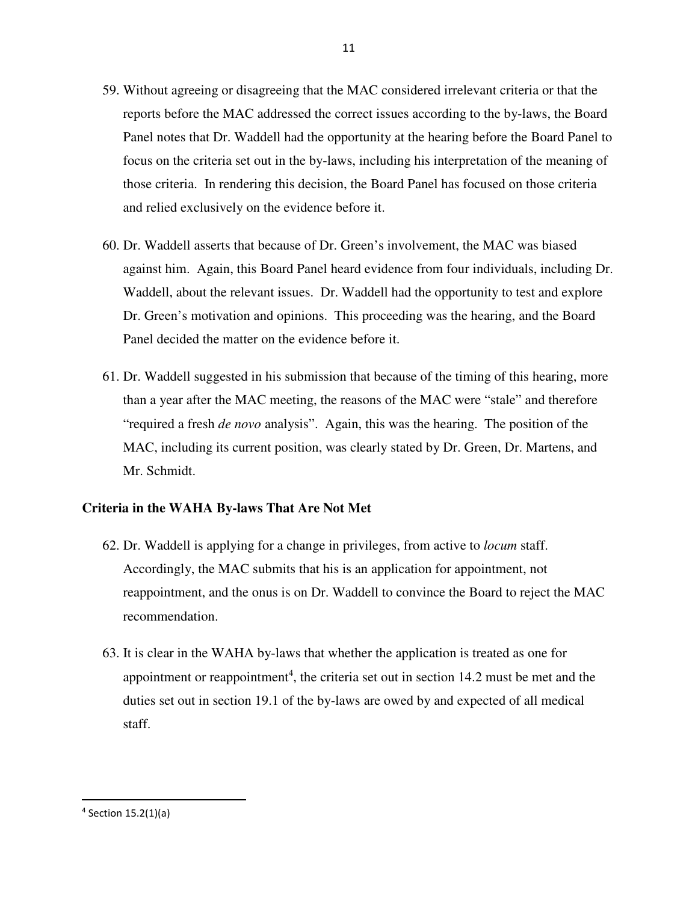- 59. Without agreeing or disagreeing that the MAC considered irrelevant criteria or that the reports before the MAC addressed the correct issues according to the by-laws, the Board Panel notes that Dr. Waddell had the opportunity at the hearing before the Board Panel to focus on the criteria set out in the by-laws, including his interpretation of the meaning of those criteria. In rendering this decision, the Board Panel has focused on those criteria and relied exclusively on the evidence before it.
- 60. Dr. Waddell asserts that because of Dr. Green's involvement, the MAC was biased against him. Again, this Board Panel heard evidence from four individuals, including Dr. Waddell, about the relevant issues. Dr. Waddell had the opportunity to test and explore Dr. Green's motivation and opinions. This proceeding was the hearing, and the Board Panel decided the matter on the evidence before it.
- 61. Dr. Waddell suggested in his submission that because of the timing of this hearing, more than a year after the MAC meeting, the reasons of the MAC were "stale" and therefore "required a fresh *de novo* analysis". Again, this was the hearing. The position of the MAC, including its current position, was clearly stated by Dr. Green, Dr. Martens, and Mr. Schmidt.

## **Criteria in the WAHA By-laws That Are Not Met**

- 62. Dr. Waddell is applying for a change in privileges, from active to *locum* staff. Accordingly, the MAC submits that his is an application for appointment, not reappointment, and the onus is on Dr. Waddell to convince the Board to reject the MAC recommendation.
- 63. It is clear in the WAHA by-laws that whether the application is treated as one for appointment or reappointment<sup>4</sup>, the criteria set out in section 14.2 must be met and the duties set out in section 19.1 of the by-laws are owed by and expected of all medical staff.

-

<sup>4</sup> Section 15.2(1)(a)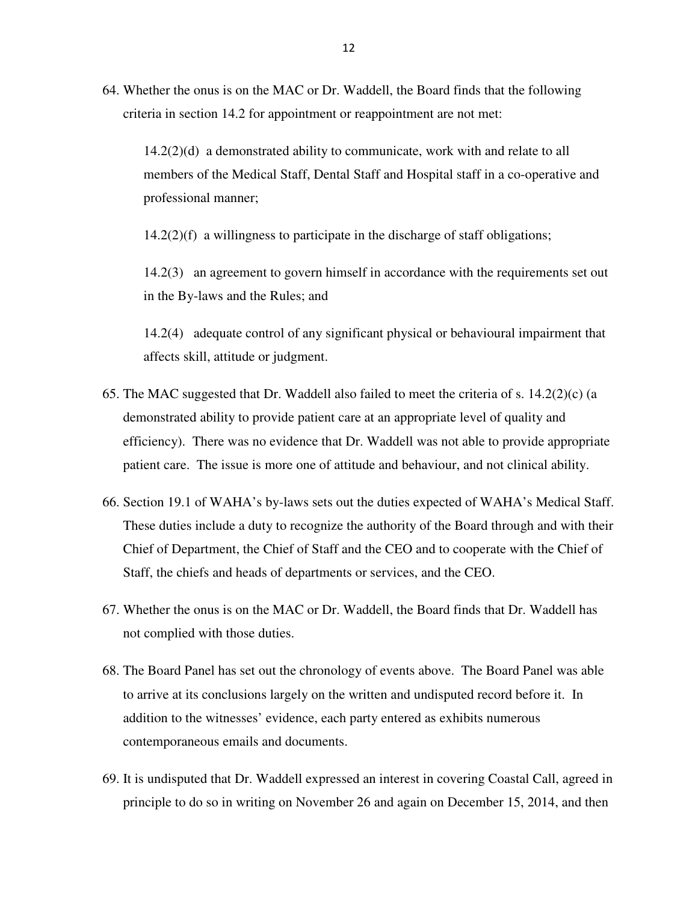64. Whether the onus is on the MAC or Dr. Waddell, the Board finds that the following criteria in section 14.2 for appointment or reappointment are not met:

14.2(2)(d) a demonstrated ability to communicate, work with and relate to all members of the Medical Staff, Dental Staff and Hospital staff in a co-operative and professional manner;

14.2(2)(f) a willingness to participate in the discharge of staff obligations;

14.2(3) an agreement to govern himself in accordance with the requirements set out in the By-laws and the Rules; and

14.2(4) adequate control of any significant physical or behavioural impairment that affects skill, attitude or judgment.

- 65. The MAC suggested that Dr. Waddell also failed to meet the criteria of s. 14.2(2)(c) (a demonstrated ability to provide patient care at an appropriate level of quality and efficiency). There was no evidence that Dr. Waddell was not able to provide appropriate patient care. The issue is more one of attitude and behaviour, and not clinical ability.
- 66. Section 19.1 of WAHA's by-laws sets out the duties expected of WAHA's Medical Staff. These duties include a duty to recognize the authority of the Board through and with their Chief of Department, the Chief of Staff and the CEO and to cooperate with the Chief of Staff, the chiefs and heads of departments or services, and the CEO.
- 67. Whether the onus is on the MAC or Dr. Waddell, the Board finds that Dr. Waddell has not complied with those duties.
- 68. The Board Panel has set out the chronology of events above. The Board Panel was able to arrive at its conclusions largely on the written and undisputed record before it. In addition to the witnesses' evidence, each party entered as exhibits numerous contemporaneous emails and documents.
- 69. It is undisputed that Dr. Waddell expressed an interest in covering Coastal Call, agreed in principle to do so in writing on November 26 and again on December 15, 2014, and then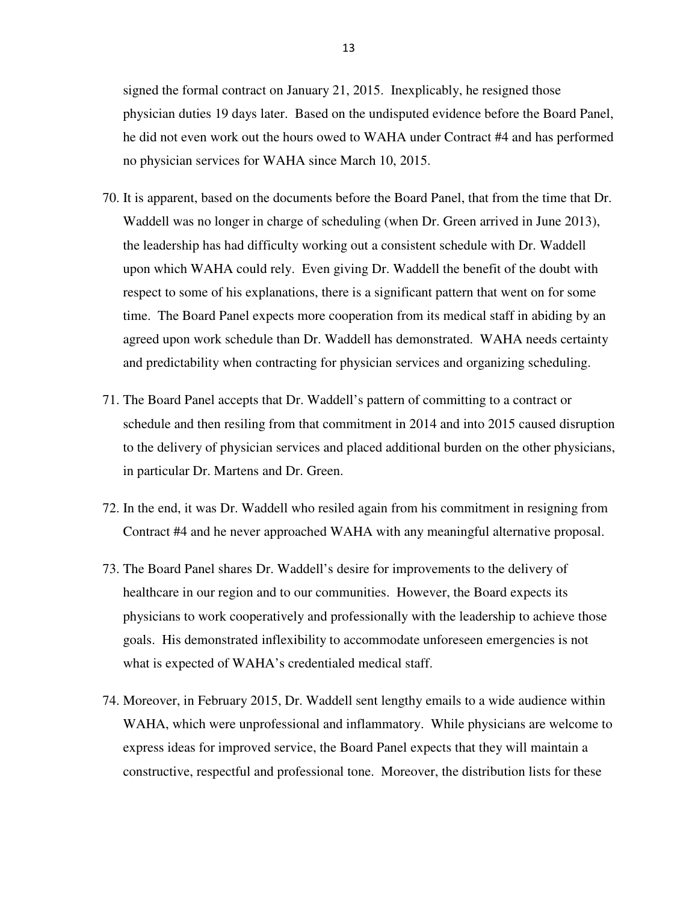signed the formal contract on January 21, 2015. Inexplicably, he resigned those physician duties 19 days later. Based on the undisputed evidence before the Board Panel, he did not even work out the hours owed to WAHA under Contract #4 and has performed no physician services for WAHA since March 10, 2015.

- 70. It is apparent, based on the documents before the Board Panel, that from the time that Dr. Waddell was no longer in charge of scheduling (when Dr. Green arrived in June 2013), the leadership has had difficulty working out a consistent schedule with Dr. Waddell upon which WAHA could rely. Even giving Dr. Waddell the benefit of the doubt with respect to some of his explanations, there is a significant pattern that went on for some time. The Board Panel expects more cooperation from its medical staff in abiding by an agreed upon work schedule than Dr. Waddell has demonstrated. WAHA needs certainty and predictability when contracting for physician services and organizing scheduling.
- 71. The Board Panel accepts that Dr. Waddell's pattern of committing to a contract or schedule and then resiling from that commitment in 2014 and into 2015 caused disruption to the delivery of physician services and placed additional burden on the other physicians, in particular Dr. Martens and Dr. Green.
- 72. In the end, it was Dr. Waddell who resiled again from his commitment in resigning from Contract #4 and he never approached WAHA with any meaningful alternative proposal.
- 73. The Board Panel shares Dr. Waddell's desire for improvements to the delivery of healthcare in our region and to our communities. However, the Board expects its physicians to work cooperatively and professionally with the leadership to achieve those goals. His demonstrated inflexibility to accommodate unforeseen emergencies is not what is expected of WAHA's credentialed medical staff.
- 74. Moreover, in February 2015, Dr. Waddell sent lengthy emails to a wide audience within WAHA, which were unprofessional and inflammatory. While physicians are welcome to express ideas for improved service, the Board Panel expects that they will maintain a constructive, respectful and professional tone. Moreover, the distribution lists for these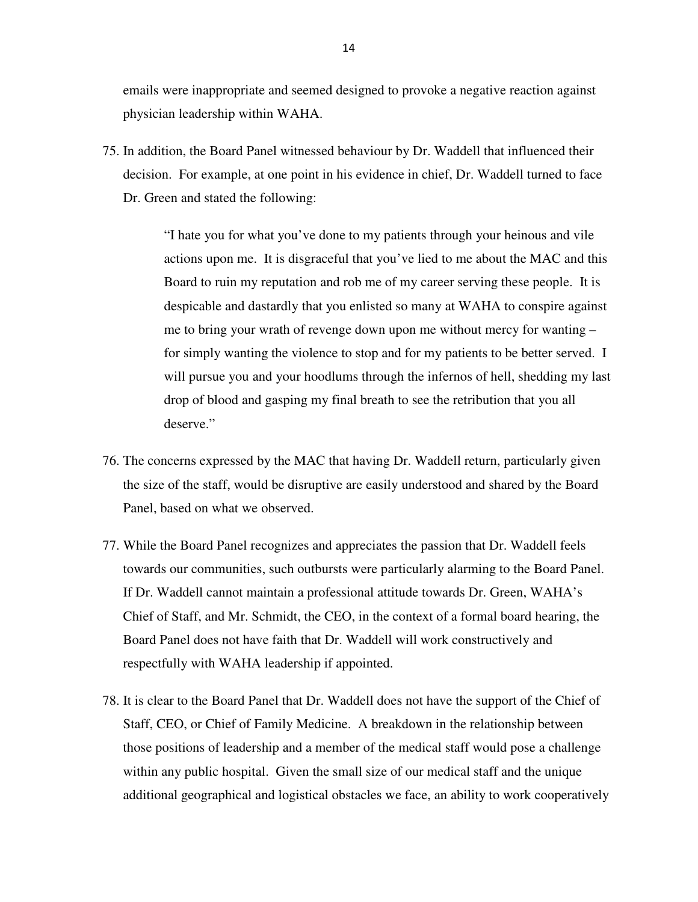emails were inappropriate and seemed designed to provoke a negative reaction against physician leadership within WAHA.

75. In addition, the Board Panel witnessed behaviour by Dr. Waddell that influenced their decision. For example, at one point in his evidence in chief, Dr. Waddell turned to face Dr. Green and stated the following:

> "I hate you for what you've done to my patients through your heinous and vile actions upon me. It is disgraceful that you've lied to me about the MAC and this Board to ruin my reputation and rob me of my career serving these people. It is despicable and dastardly that you enlisted so many at WAHA to conspire against me to bring your wrath of revenge down upon me without mercy for wanting – for simply wanting the violence to stop and for my patients to be better served. I will pursue you and your hoodlums through the infernos of hell, shedding my last drop of blood and gasping my final breath to see the retribution that you all deserve."

- 76. The concerns expressed by the MAC that having Dr. Waddell return, particularly given the size of the staff, would be disruptive are easily understood and shared by the Board Panel, based on what we observed.
- 77. While the Board Panel recognizes and appreciates the passion that Dr. Waddell feels towards our communities, such outbursts were particularly alarming to the Board Panel. If Dr. Waddell cannot maintain a professional attitude towards Dr. Green, WAHA's Chief of Staff, and Mr. Schmidt, the CEO, in the context of a formal board hearing, the Board Panel does not have faith that Dr. Waddell will work constructively and respectfully with WAHA leadership if appointed.
- 78. It is clear to the Board Panel that Dr. Waddell does not have the support of the Chief of Staff, CEO, or Chief of Family Medicine. A breakdown in the relationship between those positions of leadership and a member of the medical staff would pose a challenge within any public hospital. Given the small size of our medical staff and the unique additional geographical and logistical obstacles we face, an ability to work cooperatively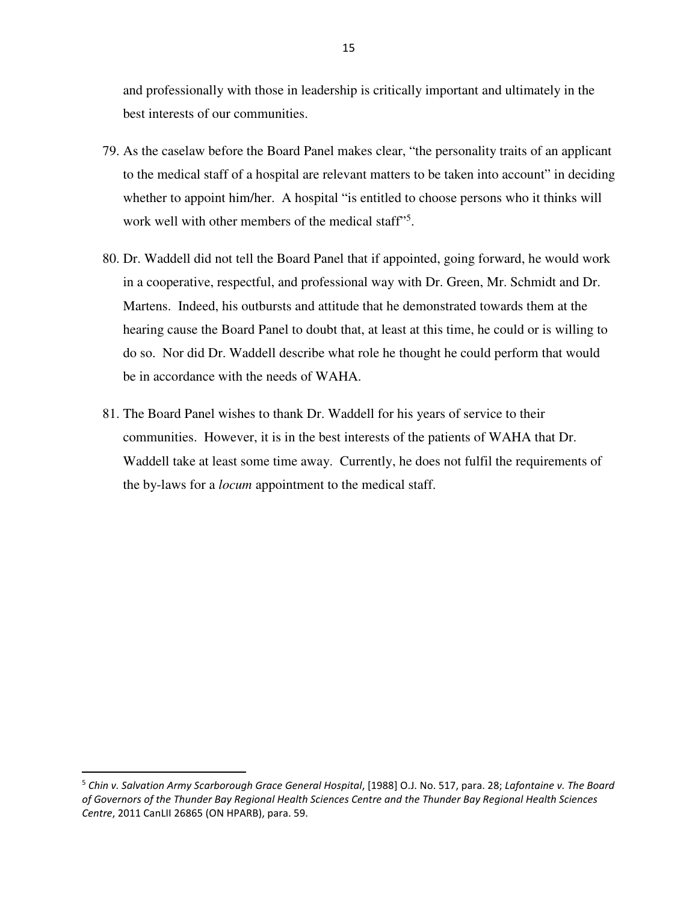and professionally with those in leadership is critically important and ultimately in the best interests of our communities.

- 79. As the caselaw before the Board Panel makes clear, "the personality traits of an applicant to the medical staff of a hospital are relevant matters to be taken into account" in deciding whether to appoint him/her. A hospital "is entitled to choose persons who it thinks will work well with other members of the medical staff"<sup>5</sup>.
- 80. Dr. Waddell did not tell the Board Panel that if appointed, going forward, he would work in a cooperative, respectful, and professional way with Dr. Green, Mr. Schmidt and Dr. Martens. Indeed, his outbursts and attitude that he demonstrated towards them at the hearing cause the Board Panel to doubt that, at least at this time, he could or is willing to do so. Nor did Dr. Waddell describe what role he thought he could perform that would be in accordance with the needs of WAHA.
- 81. The Board Panel wishes to thank Dr. Waddell for his years of service to their communities. However, it is in the best interests of the patients of WAHA that Dr. Waddell take at least some time away. Currently, he does not fulfil the requirements of the by-laws for a *locum* appointment to the medical staff.

-

<sup>5</sup> *Chin v. Salvation Army Scarborough Grace General Hospital*, [1988] O.J. No. 517, para. 28; *Lafontaine v. The Board of Governors of the Thunder Bay Regional Health Sciences Centre and the Thunder Bay Regional Health Sciences Centre*, 2011 CanLII 26865 (ON HPARB), para. 59.